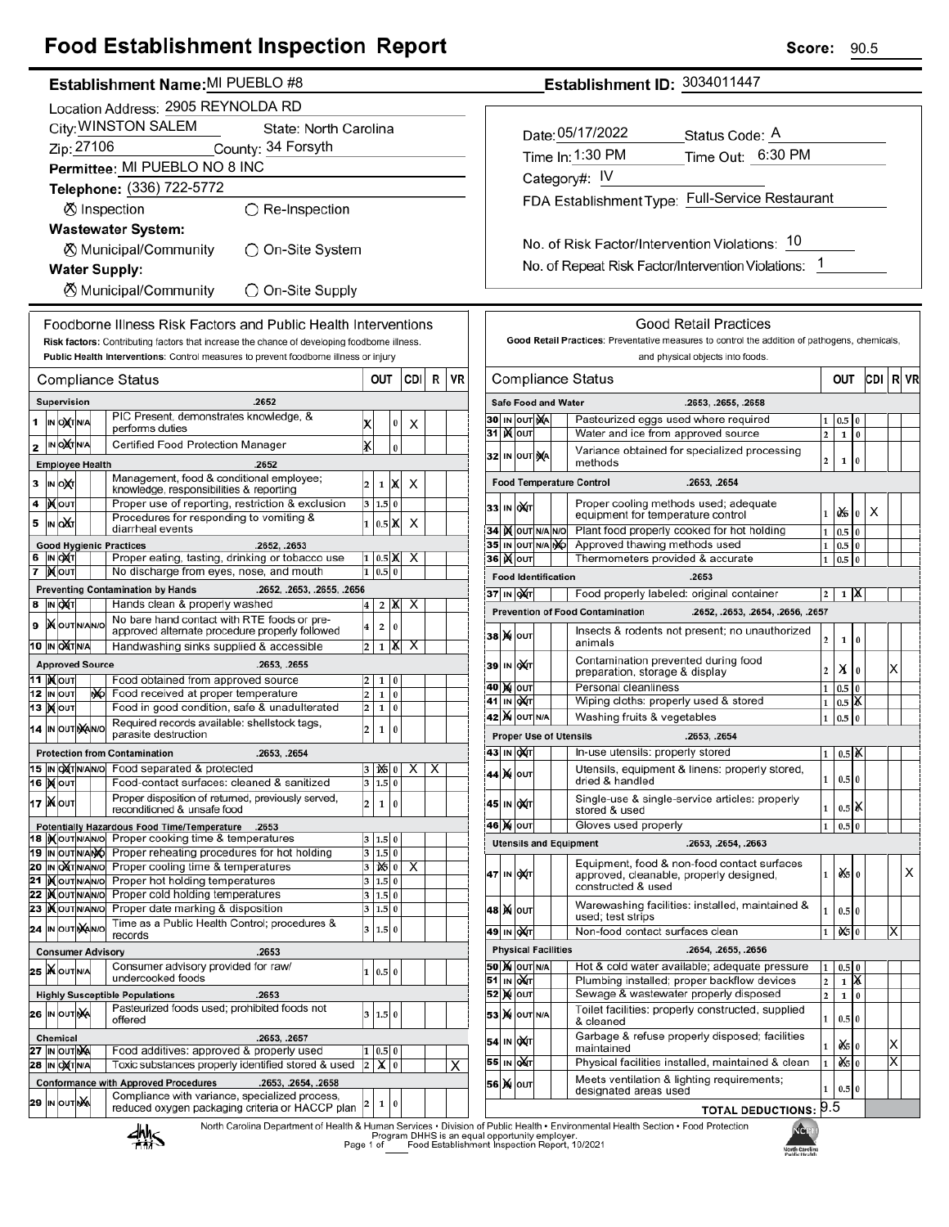# **Food Establishment Inspection Report**

### Establishment Name: MI PUEBLO #8

|                                                               | Location Address: 2905 REYNOLDA RD                                                   |                              |  |    |                                                                                                   |                              |                         |                      |     |   |    |
|---------------------------------------------------------------|--------------------------------------------------------------------------------------|------------------------------|--|----|---------------------------------------------------------------------------------------------------|------------------------------|-------------------------|----------------------|-----|---|----|
|                                                               | City: WINSTON SALEM<br>State: North Carolina                                         |                              |  |    |                                                                                                   |                              |                         |                      |     |   |    |
|                                                               | Zip: 27106<br>County: 34 Forsyth                                                     |                              |  |    |                                                                                                   |                              |                         |                      |     |   |    |
|                                                               | Permittee: MI PUEBLO NO 8 INC                                                        |                              |  |    |                                                                                                   |                              |                         |                      |     |   |    |
|                                                               | Telephone: (336) 722-5772                                                            |                              |  |    |                                                                                                   |                              |                         |                      |     |   |    |
|                                                               | <b>Ø</b> Inspection<br>$\bigcirc$ Re-Inspection                                      |                              |  |    |                                                                                                   |                              |                         |                      |     |   |    |
|                                                               | <b>Wastewater System:</b>                                                            |                              |  |    |                                                                                                   |                              |                         |                      |     |   |    |
|                                                               | <b><math>\oslash</math> Municipal/Community</b><br>◯ On-Site System                  |                              |  |    |                                                                                                   |                              |                         |                      |     |   |    |
|                                                               | <b>Water Supply:</b>                                                                 |                              |  |    |                                                                                                   |                              |                         |                      |     |   |    |
|                                                               | ⊗ Municipal/Community<br>○ On-Site Supply                                            |                              |  |    |                                                                                                   |                              |                         |                      |     |   |    |
|                                                               | Foodborne Illness Risk Factors and Public Health Interventions                       |                              |  |    |                                                                                                   |                              |                         |                      |     |   |    |
|                                                               |                                                                                      |                              |  |    | Risk factors: Contributing factors that increase the chance of developing foodborne illness.      |                              |                         |                      |     |   |    |
|                                                               | Public Health Interventions: Control measures to prevent foodborne illness or injury |                              |  |    |                                                                                                   |                              |                         |                      |     |   |    |
|                                                               |                                                                                      |                              |  |    | Compliance Status                                                                                 |                              | OUT                     |                      | CDI | R | VR |
|                                                               |                                                                                      | Supervision                  |  |    | .2652                                                                                             |                              |                         |                      |     |   |    |
| 1                                                             |                                                                                      | IN OXTNA                     |  |    | PIC Present, demonstrates knowledge, &<br>performs duties                                         | x                            |                         | 0                    | x   |   |    |
| 2                                                             |                                                                                      | IN OCTN/A                    |  |    | Certified Food Protection Manager                                                                 | x                            |                         | $\bf{0}$             |     |   |    |
|                                                               |                                                                                      | <b>Employee Health</b>       |  |    | .2652                                                                                             |                              |                         |                      |     |   |    |
| 3                                                             |                                                                                      | IN ONT                       |  |    | Management, food & conditional employee;                                                          | 2                            | 1                       | Х                    | х   |   |    |
| 4                                                             |                                                                                      | ∣)X∣oυτ                      |  |    | knowledge, responsibilities & reporting<br>Proper use of reporting, restriction & exclusion       | 3                            | 1.5                     | 0                    |     |   |    |
| 5                                                             |                                                                                      | IN OUT                       |  |    | Procedures for responding to vomiting &                                                           | 1                            | 0.5                     | х                    | х   |   |    |
|                                                               | diarrheal events<br><b>Good Hygienic Practices</b>                                   |                              |  |    |                                                                                                   |                              |                         |                      |     |   |    |
| 6                                                             |                                                                                      | IN OXT                       |  |    | .2652, .2653<br>Proper eating, tasting, drinking or tobacco use                                   | 1                            | $0.5$ X                 |                      | х   |   |    |
| 7                                                             |                                                                                      | ∣) <b>X</b> ∣оυт             |  |    | No discharge from eyes, nose, and mouth                                                           | 1                            | 0.5                     | $\bf{0}$             |     |   |    |
|                                                               |                                                                                      |                              |  |    | <b>Preventing Contamination by Hands</b><br>.2652, .2653, .2655, .2656                            |                              |                         |                      |     |   |    |
| 8                                                             |                                                                                      | IN OXT                       |  |    | Hands clean & properly washed<br>No bare hand contact with RTE foods or pre-                      | 4                            | 2                       | X                    | х   |   |    |
| 9                                                             |                                                                                      | <b>IX</b> OUT N/AN/O         |  |    | approved alternate procedure properly followed                                                    | 4                            | $\overline{\mathbf{2}}$ | 0                    |     |   |    |
| 10                                                            |                                                                                      | IN OXTNA                     |  |    | Handwashing sinks supplied & accessible                                                           | $\overline{\mathbf{c}}$      | 1                       | X                    | x   |   |    |
| <b>Approved Source</b><br>.2653, .2655<br>11  ) <b>χ</b>  ουτ |                                                                                      |                              |  |    |                                                                                                   |                              |                         |                      |     |   |    |
| 12                                                            |                                                                                      | <b>IN OUT</b>                |  | ŊЮ | Food obtained from approved source<br>Food received at proper temperature                         | 2<br>2                       | 1<br>$\mathbf 1$        | 0<br>0               |     |   |    |
|                                                               |                                                                                      | 13  ) ( ouт                  |  |    | Food in good condition, safe & unadulterated                                                      | 2                            | 1                       | 0                    |     |   |    |
| 14                                                            |                                                                                      | IN OUT NAINO                 |  |    | Required records available: shellstock tags,<br>parasite destruction                              | 2                            | 1                       | 0                    |     |   |    |
|                                                               |                                                                                      |                              |  |    | <b>Protection from Contamination</b><br>.2653, .2654                                              |                              |                         |                      |     |   |    |
|                                                               |                                                                                      | 15  IN OXTN/AN/O             |  |    | Food separated & protected<br>Food-contact surfaces: cleaned & sanitized                          | 3                            | 125<br>1.5 0            |                      |     | х |    |
|                                                               |                                                                                      | <b>16 ) о</b> лт<br>17 XOUT  |  |    | Proper disposition of returned, previously served,                                                |                              |                         |                      |     |   |    |
|                                                               |                                                                                      |                              |  |    | reconditioned & unsafe food                                                                       | 2                            | $\mathbf 1$             | 0                    |     |   |    |
|                                                               |                                                                                      | 18 IN OUT N/AN/O             |  |    | Potentially Hazardous Food Time/Temperature<br>.2653<br>Proper cooking time & temperatures        | 3                            | 1.5 0                   |                      |     |   |    |
|                                                               |                                                                                      | 19 IN OUT N/ANO              |  |    | Proper reheating procedures for hot holding                                                       | 3                            | 1.5 0                   |                      |     |   |    |
|                                                               |                                                                                      | 20 IN OXTNANO                |  |    | Proper cooling time & temperatures                                                                | 3                            | $ \mathbf{16} 0$        |                      | х   |   |    |
|                                                               |                                                                                      | 21   OUTNANO<br>22   OUTNANO |  |    | Proper hot holding temperatures<br>Proper cold holding temperatures                               | 3<br>3                       | 1.5<br>1.5              | $\bf{0}$<br>$\bf{0}$ |     |   |    |
|                                                               |                                                                                      | 23   OUTNANO                 |  |    | Proper date marking & disposition                                                                 | 3                            | 1.5                     | 0                    |     |   |    |
|                                                               |                                                                                      | 24 IN OUT NANO               |  |    | Time as a Public Health Control; procedures &<br>records                                          | 3                            | 1.5                     | $\bf{0}$             |     |   |    |
|                                                               |                                                                                      |                              |  |    | <b>Consumer Advisory</b><br>.2653                                                                 |                              |                         |                      |     |   |    |
|                                                               |                                                                                      | 25 WOUTNA                    |  |    | Consumer advisory provided for raw/<br>undercooked foods                                          | 1                            | 0.5 0                   |                      |     |   |    |
|                                                               |                                                                                      |                              |  |    | <b>Highly Susceptible Populations</b><br>.2653                                                    |                              |                         |                      |     |   |    |
|                                                               |                                                                                      | 26 IN OUTINA                 |  |    | Pasteurized foods used; prohibited foods not<br>offered                                           | 3                            | 1.5                     | 0                    |     |   |    |
|                                                               |                                                                                      | <b>Chemical</b>              |  |    | .2653, .2657                                                                                      |                              |                         |                      |     |   |    |
|                                                               |                                                                                      | <b>27 IN OUT NA</b>          |  |    | Food additives: approved & properly used<br>Toxic substances properly identified stored & used    | 1<br>$\overline{\mathbf{c}}$ | 0.5                     | 0<br>$\bf{0}$        |     |   |    |
|                                                               |                                                                                      | <b>28 IN OXT N/A</b>         |  |    | <b>Conformance with Approved Procedures</b><br>.2653, .2654, .2658                                |                              | х                       |                      |     |   | X  |
|                                                               |                                                                                      | <b>29 IN OUT NA</b>          |  |    | Compliance with variance, specialized process,<br>reduced oxygen packaging criteria or HACCP plan | 2                            | 1                       | 0                    |     |   |    |
|                                                               |                                                                                      |                              |  |    | North Carolina Department of Health & Human Services . Divisi<br><b><i><u>III</u></i></b>         |                              |                         |                      |     |   |    |

Establishment ID: 3034011447

| Date: 05/17/2022                                | Status Code: A    |  |  |  |  |  |  |
|-------------------------------------------------|-------------------|--|--|--|--|--|--|
| Time In: 1:30 PM                                | Time Out: 6:30 PM |  |  |  |  |  |  |
| Category#: IV                                   |                   |  |  |  |  |  |  |
| FDA Establishment Type: Full-Service Restaurant |                   |  |  |  |  |  |  |
|                                                 |                   |  |  |  |  |  |  |
|                                                 |                   |  |  |  |  |  |  |

No. of Repeat Risk Factor/Intervention Violations: 1

| and physical objects into foods.<br>.2653, .2655, .2658<br>Pasteurized eggs used where required<br>Water and ice from approved source<br>Variance obtained for specialized processing<br>.2653, .2654<br>Proper cooling methods used; adequate<br>equipment for temperature control<br>Plant food properly cooked for hot holding<br>Approved thawing methods used<br>Thermometers provided & accurate<br>Food properly labeled: original container<br>.2652, .2653, .2654, .2656, .2657<br>Insects & rodents not present; no unauthorized | 1<br>$\overline{\mathbf{c}}$<br>2<br>1<br>1<br>1<br>1<br>2                                                                                                                                                                                                                                                                                                                                                                                                                                                                                                                                                                                                                                                                                                            | OUT<br>0.5<br>1<br>1<br>0.5<br>0.5<br>0.5<br>0.5 | 0<br>0<br>0<br>$\bf{0}$<br>0<br>0<br>0 | CDI<br>Χ                                                                                                         | RI | VR                      |
|--------------------------------------------------------------------------------------------------------------------------------------------------------------------------------------------------------------------------------------------------------------------------------------------------------------------------------------------------------------------------------------------------------------------------------------------------------------------------------------------------------------------------------------------|-----------------------------------------------------------------------------------------------------------------------------------------------------------------------------------------------------------------------------------------------------------------------------------------------------------------------------------------------------------------------------------------------------------------------------------------------------------------------------------------------------------------------------------------------------------------------------------------------------------------------------------------------------------------------------------------------------------------------------------------------------------------------|--------------------------------------------------|----------------------------------------|------------------------------------------------------------------------------------------------------------------|----|-------------------------|
|                                                                                                                                                                                                                                                                                                                                                                                                                                                                                                                                            |                                                                                                                                                                                                                                                                                                                                                                                                                                                                                                                                                                                                                                                                                                                                                                       |                                                  |                                        |                                                                                                                  |    |                         |
|                                                                                                                                                                                                                                                                                                                                                                                                                                                                                                                                            |                                                                                                                                                                                                                                                                                                                                                                                                                                                                                                                                                                                                                                                                                                                                                                       |                                                  |                                        |                                                                                                                  |    |                         |
|                                                                                                                                                                                                                                                                                                                                                                                                                                                                                                                                            |                                                                                                                                                                                                                                                                                                                                                                                                                                                                                                                                                                                                                                                                                                                                                                       |                                                  |                                        |                                                                                                                  |    |                         |
|                                                                                                                                                                                                                                                                                                                                                                                                                                                                                                                                            |                                                                                                                                                                                                                                                                                                                                                                                                                                                                                                                                                                                                                                                                                                                                                                       |                                                  |                                        |                                                                                                                  |    |                         |
|                                                                                                                                                                                                                                                                                                                                                                                                                                                                                                                                            |                                                                                                                                                                                                                                                                                                                                                                                                                                                                                                                                                                                                                                                                                                                                                                       |                                                  |                                        |                                                                                                                  |    |                         |
|                                                                                                                                                                                                                                                                                                                                                                                                                                                                                                                                            |                                                                                                                                                                                                                                                                                                                                                                                                                                                                                                                                                                                                                                                                                                                                                                       |                                                  |                                        |                                                                                                                  |    |                         |
|                                                                                                                                                                                                                                                                                                                                                                                                                                                                                                                                            |                                                                                                                                                                                                                                                                                                                                                                                                                                                                                                                                                                                                                                                                                                                                                                       |                                                  |                                        |                                                                                                                  |    |                         |
|                                                                                                                                                                                                                                                                                                                                                                                                                                                                                                                                            |                                                                                                                                                                                                                                                                                                                                                                                                                                                                                                                                                                                                                                                                                                                                                                       |                                                  |                                        |                                                                                                                  |    |                         |
|                                                                                                                                                                                                                                                                                                                                                                                                                                                                                                                                            |                                                                                                                                                                                                                                                                                                                                                                                                                                                                                                                                                                                                                                                                                                                                                                       |                                                  |                                        |                                                                                                                  |    |                         |
|                                                                                                                                                                                                                                                                                                                                                                                                                                                                                                                                            |                                                                                                                                                                                                                                                                                                                                                                                                                                                                                                                                                                                                                                                                                                                                                                       |                                                  |                                        |                                                                                                                  |    |                         |
|                                                                                                                                                                                                                                                                                                                                                                                                                                                                                                                                            |                                                                                                                                                                                                                                                                                                                                                                                                                                                                                                                                                                                                                                                                                                                                                                       |                                                  |                                        |                                                                                                                  |    |                         |
|                                                                                                                                                                                                                                                                                                                                                                                                                                                                                                                                            |                                                                                                                                                                                                                                                                                                                                                                                                                                                                                                                                                                                                                                                                                                                                                                       |                                                  |                                        |                                                                                                                  |    |                         |
|                                                                                                                                                                                                                                                                                                                                                                                                                                                                                                                                            |                                                                                                                                                                                                                                                                                                                                                                                                                                                                                                                                                                                                                                                                                                                                                                       | 1                                                | ΙX                                     |                                                                                                                  |    |                         |
|                                                                                                                                                                                                                                                                                                                                                                                                                                                                                                                                            |                                                                                                                                                                                                                                                                                                                                                                                                                                                                                                                                                                                                                                                                                                                                                                       |                                                  |                                        |                                                                                                                  |    |                         |
|                                                                                                                                                                                                                                                                                                                                                                                                                                                                                                                                            | 2                                                                                                                                                                                                                                                                                                                                                                                                                                                                                                                                                                                                                                                                                                                                                                     | 1                                                | 0                                      |                                                                                                                  |    |                         |
| Contamination prevented during food<br>preparation, storage & display                                                                                                                                                                                                                                                                                                                                                                                                                                                                      | 2                                                                                                                                                                                                                                                                                                                                                                                                                                                                                                                                                                                                                                                                                                                                                                     | х                                                | $\bf{0}$                               |                                                                                                                  | x  |                         |
|                                                                                                                                                                                                                                                                                                                                                                                                                                                                                                                                            | $\mathbf{1}$                                                                                                                                                                                                                                                                                                                                                                                                                                                                                                                                                                                                                                                                                                                                                          | 0.5                                              | $\bf{0}$                               |                                                                                                                  |    |                         |
| Wiping cloths: properly used & stored                                                                                                                                                                                                                                                                                                                                                                                                                                                                                                      | 1                                                                                                                                                                                                                                                                                                                                                                                                                                                                                                                                                                                                                                                                                                                                                                     | 0.5                                              | X                                      |                                                                                                                  |    |                         |
|                                                                                                                                                                                                                                                                                                                                                                                                                                                                                                                                            | 1                                                                                                                                                                                                                                                                                                                                                                                                                                                                                                                                                                                                                                                                                                                                                                     | 0.5                                              | 0                                      |                                                                                                                  |    |                         |
|                                                                                                                                                                                                                                                                                                                                                                                                                                                                                                                                            |                                                                                                                                                                                                                                                                                                                                                                                                                                                                                                                                                                                                                                                                                                                                                                       |                                                  |                                        |                                                                                                                  |    |                         |
|                                                                                                                                                                                                                                                                                                                                                                                                                                                                                                                                            | 1                                                                                                                                                                                                                                                                                                                                                                                                                                                                                                                                                                                                                                                                                                                                                                     |                                                  |                                        |                                                                                                                  |    |                         |
|                                                                                                                                                                                                                                                                                                                                                                                                                                                                                                                                            | 1                                                                                                                                                                                                                                                                                                                                                                                                                                                                                                                                                                                                                                                                                                                                                                     |                                                  |                                        |                                                                                                                  |    |                         |
|                                                                                                                                                                                                                                                                                                                                                                                                                                                                                                                                            | 1                                                                                                                                                                                                                                                                                                                                                                                                                                                                                                                                                                                                                                                                                                                                                                     |                                                  |                                        |                                                                                                                  |    |                         |
|                                                                                                                                                                                                                                                                                                                                                                                                                                                                                                                                            | $\mathbf{1}$                                                                                                                                                                                                                                                                                                                                                                                                                                                                                                                                                                                                                                                                                                                                                          | 0.5                                              | 0                                      |                                                                                                                  |    |                         |
|                                                                                                                                                                                                                                                                                                                                                                                                                                                                                                                                            |                                                                                                                                                                                                                                                                                                                                                                                                                                                                                                                                                                                                                                                                                                                                                                       |                                                  |                                        |                                                                                                                  |    |                         |
|                                                                                                                                                                                                                                                                                                                                                                                                                                                                                                                                            | 1                                                                                                                                                                                                                                                                                                                                                                                                                                                                                                                                                                                                                                                                                                                                                                     |                                                  |                                        |                                                                                                                  |    | х                       |
|                                                                                                                                                                                                                                                                                                                                                                                                                                                                                                                                            | 1                                                                                                                                                                                                                                                                                                                                                                                                                                                                                                                                                                                                                                                                                                                                                                     |                                                  |                                        |                                                                                                                  |    |                         |
|                                                                                                                                                                                                                                                                                                                                                                                                                                                                                                                                            | 1                                                                                                                                                                                                                                                                                                                                                                                                                                                                                                                                                                                                                                                                                                                                                                     | 0\$                                              | $\bf{0}$                               |                                                                                                                  | х  |                         |
|                                                                                                                                                                                                                                                                                                                                                                                                                                                                                                                                            |                                                                                                                                                                                                                                                                                                                                                                                                                                                                                                                                                                                                                                                                                                                                                                       |                                                  |                                        |                                                                                                                  |    |                         |
|                                                                                                                                                                                                                                                                                                                                                                                                                                                                                                                                            | 1                                                                                                                                                                                                                                                                                                                                                                                                                                                                                                                                                                                                                                                                                                                                                                     | 0.5                                              | 0                                      |                                                                                                                  |    |                         |
|                                                                                                                                                                                                                                                                                                                                                                                                                                                                                                                                            | $\overline{2}$                                                                                                                                                                                                                                                                                                                                                                                                                                                                                                                                                                                                                                                                                                                                                        | $\mathbf{1}$                                     |                                        |                                                                                                                  |    |                         |
|                                                                                                                                                                                                                                                                                                                                                                                                                                                                                                                                            |                                                                                                                                                                                                                                                                                                                                                                                                                                                                                                                                                                                                                                                                                                                                                                       |                                                  |                                        |                                                                                                                  |    |                         |
|                                                                                                                                                                                                                                                                                                                                                                                                                                                                                                                                            | 1                                                                                                                                                                                                                                                                                                                                                                                                                                                                                                                                                                                                                                                                                                                                                                     |                                                  |                                        |                                                                                                                  |    |                         |
|                                                                                                                                                                                                                                                                                                                                                                                                                                                                                                                                            | 1                                                                                                                                                                                                                                                                                                                                                                                                                                                                                                                                                                                                                                                                                                                                                                     |                                                  |                                        |                                                                                                                  | X  |                         |
|                                                                                                                                                                                                                                                                                                                                                                                                                                                                                                                                            |                                                                                                                                                                                                                                                                                                                                                                                                                                                                                                                                                                                                                                                                                                                                                                       |                                                  |                                        |                                                                                                                  |    |                         |
|                                                                                                                                                                                                                                                                                                                                                                                                                                                                                                                                            | 1                                                                                                                                                                                                                                                                                                                                                                                                                                                                                                                                                                                                                                                                                                                                                                     |                                                  |                                        |                                                                                                                  |    |                         |
|                                                                                                                                                                                                                                                                                                                                                                                                                                                                                                                                            |                                                                                                                                                                                                                                                                                                                                                                                                                                                                                                                                                                                                                                                                                                                                                                       |                                                  |                                        |                                                                                                                  |    |                         |
|                                                                                                                                                                                                                                                                                                                                                                                                                                                                                                                                            | .2653, .2654<br>In-use utensils: properly stored<br>Utensils, equipment & linens: properly stored,<br>Single-use & single-service articles: properly<br>.2653, .2654, .2663<br>Equipment, food & non-food contact surfaces<br>approved, cleanable, properly designed,<br>Warewashing facilities: installed, maintained &<br>Non-food contact surfaces clean<br>.2654, .2655, .2656<br>Hot & cold water available; adequate pressure<br>Plumbing installed; proper backflow devices<br>Sewage & wastewater properly disposed<br>Toilet facilities: properly constructed, supplied<br>Garbage & refuse properly disposed; facilities<br>Physical facilities installed, maintained & clean<br>Meets ventilation & lighting requirements;<br><b>TOTAL DEDUCTIONS: 9.5</b> | $\overline{2}$<br>1                              | 1                                      | $0.5$ $\alpha$<br>0.5 0<br>$0.5$   $\alpha$<br>òX∍lo<br>0.5 0<br>X<br>$\bf{0}$<br>0.5 0<br>0% 0<br>o‰∣o<br>0.5 0 |    | $\overline{\mathsf{x}}$ |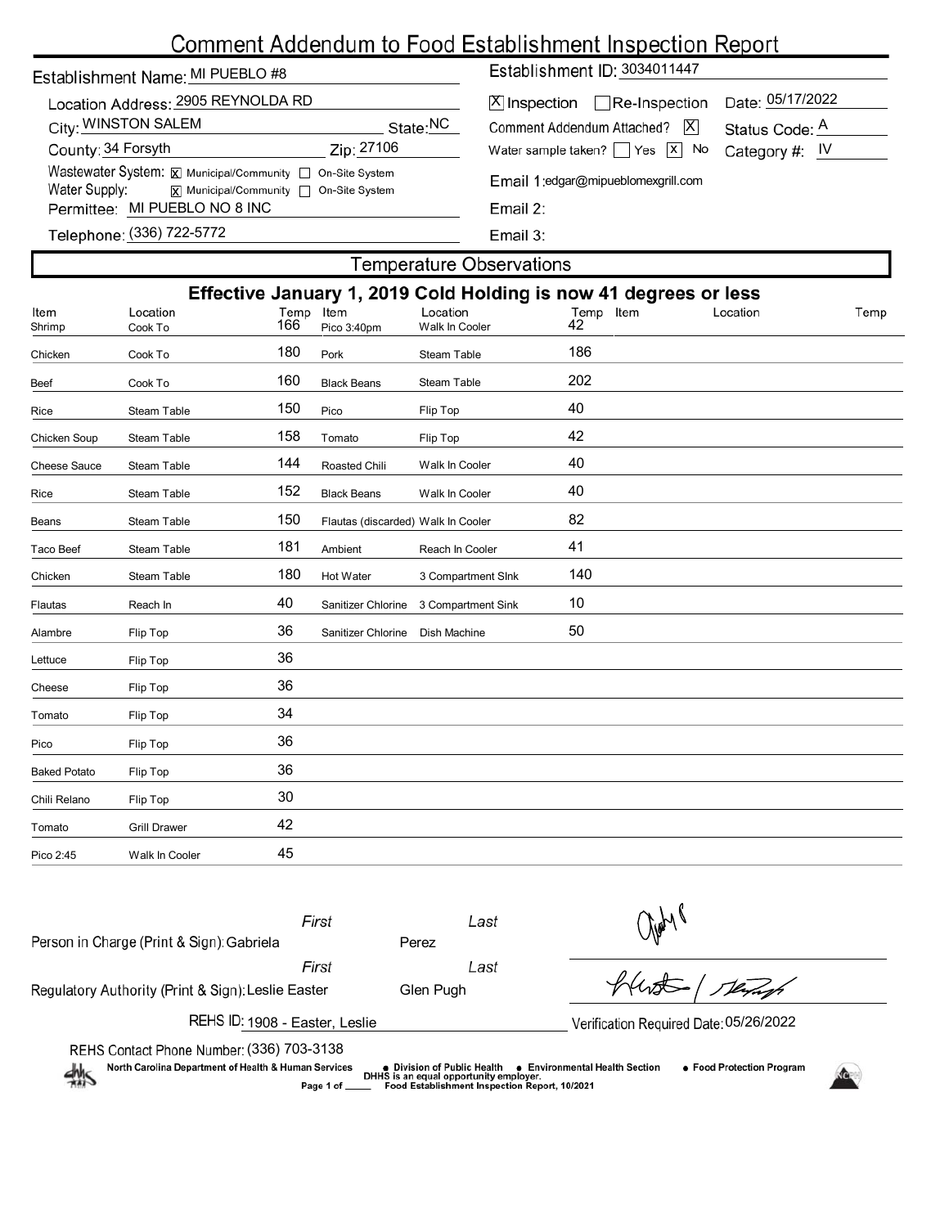# Comment Addendum to Food Establishment Inspection Report

| Establishment Name: MI PUEBLO #8 |                                                           |            |          |
|----------------------------------|-----------------------------------------------------------|------------|----------|
|                                  | Location Address: 2905 REYNOLDA RD                        |            |          |
| City: WINSTON SALEM              |                                                           |            | State:NC |
| County: 34 Forsyth               |                                                           | Zip: 27106 |          |
|                                  | Wastewater System: X Municipal/Community   On-Site System |            |          |
| Water Supply:                    | x  Municipal/Community   On-Site System                   |            |          |
| Permittee: MI PUEBLO NO 8 INC    |                                                           |            |          |
|                                  | $(0.001)$ $700$ $5770$                                    |            |          |

Establishment ID: 3034011447

| X Inspection Re-Inspection Date: 05/17/2022             |                |
|---------------------------------------------------------|----------------|
| Comment Addendum Attached? $ \overline{X} $             | Status Code: A |
| Water sample taken? $\Box$ Yes $\Box$ No Category #: IV |                |

Email 1:edgar@mipueblomexgrill.com

Email 2:

Telephone: (336) 722-5772

Email 3:

## **Temperature Observations** Effective January 1, 2019 Cold Holding is now 41 degrees or less Cook To 166 Pico 3:40pm Walk In Cooler 42 Location Location Location Item Temp Shrimp Chicken Cook To 180 Pork Steam Table 186 Beef Cook To 160 Black Beans Steam Table 202 Rice Steam Table 150 Pico Flip Top 40 Chicken Soup Steam Table 158 Tomato Flip Top 12 Cheese Sauce Steam Table 144 Roasted Chili Walk In Cooler 40 Rice Steam Table 152 Black Beans Walk In Cooler 40 Beans Steam Table 150 Flautas (discarded) Walk In Cooler 82 Taco Beef Steam Table 181 Ambient Reach In Cooler 41 Chicken Steam Table 180 Hot Water 3 Compartment SInk 140 Flautas **Reach In 10** All Sanitizer Chlorine 3 Compartment Sink 10 Alambre Flip Top 36 Sanitizer Chlorine Dish Machine 50 Lettuce Flip Top 36 Cheese Flip Top 36 Tomato Flip Top 34 Pico Flip Top 36 Baked Potato Flip Top 36 Chili Relano Flip Top 30 Tomato Grill Drawer 42 Pico 2:45 Walk In Cooler 45

| First<br>Person in Charge (Print & Sign): Gabriela                                                                                                                                                                                                                    | Last<br>Perez | $\frac{1}{2}$                          |  |  |  |  |
|-----------------------------------------------------------------------------------------------------------------------------------------------------------------------------------------------------------------------------------------------------------------------|---------------|----------------------------------------|--|--|--|--|
| First                                                                                                                                                                                                                                                                 | Last          |                                        |  |  |  |  |
| Regulatory Authority (Print & Sign): Leslie Easter                                                                                                                                                                                                                    | Glen Pugh     | Verhof                                 |  |  |  |  |
| REHS ID: 1908 - Easter, Leslie                                                                                                                                                                                                                                        |               | Verification Required Date: 05/26/2022 |  |  |  |  |
| REHS Contact Phone Number: (336) 703-3138                                                                                                                                                                                                                             |               |                                        |  |  |  |  |
| North Carolina Department of Health & Human Services<br>• Food Protection Program<br>● Environmental Health Section<br>● Division of Public Health<br>煞<br>DHHS is an equal opportunity employer.<br>Food Establishment Inspection Report, 10/2021<br>Page 1 of _____ |               |                                        |  |  |  |  |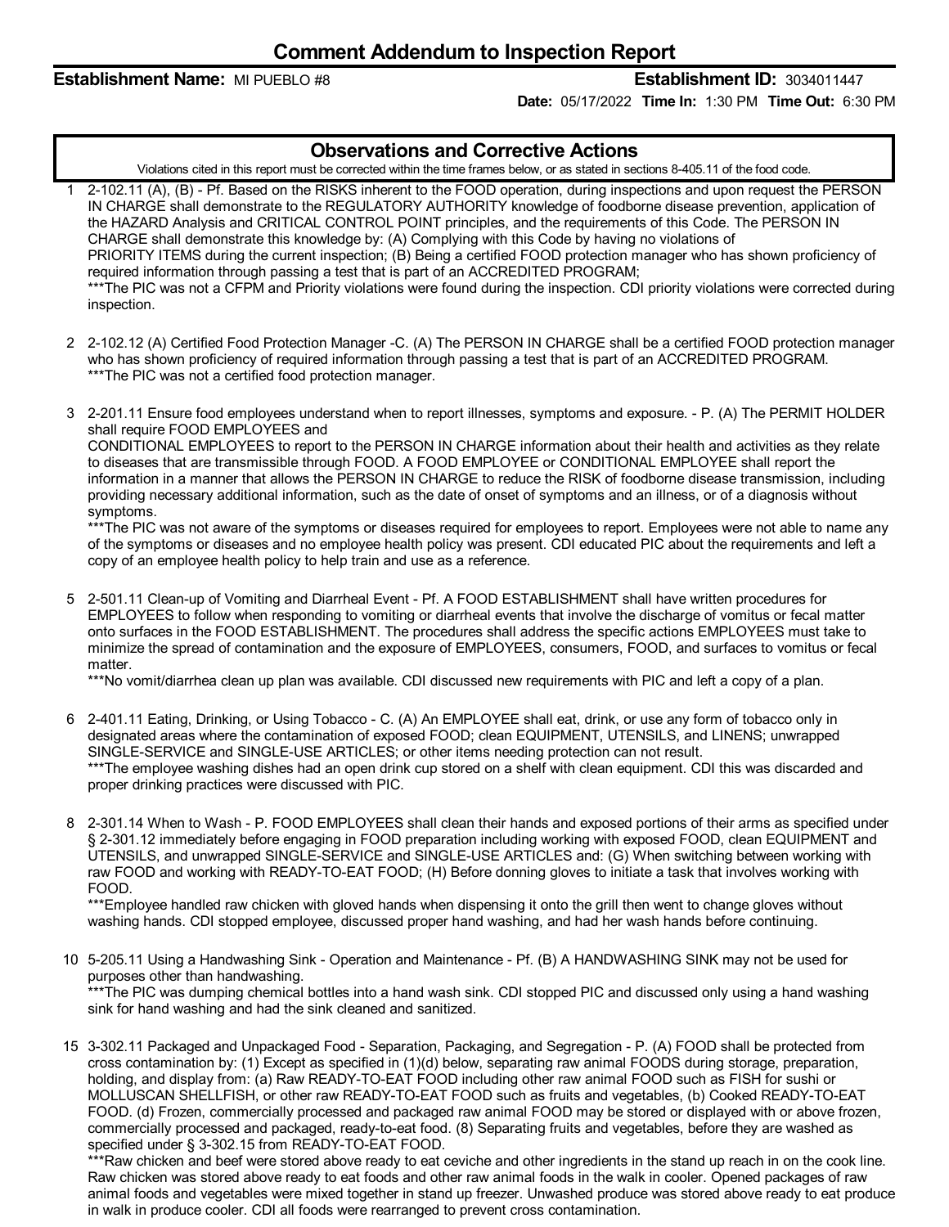**Establishment Name:** MI PUEBLO #8 **Establishment ID:** 3034011447

**Date:** 05/17/2022 **Time In:** 1:30 PM **Time Out:** 6:30 PM

## **Observations and Corrective Actions**

Violations cited in this report must be corrected within the time frames below, or as stated in sections 8-405.11 of the food code.

- 1 2-102.11 (A), (B) Pf. Based on the RISKS inherent to the FOOD operation, during inspections and upon request the PERSON IN CHARGE shall demonstrate to the REGULATORY AUTHORITY knowledge of foodborne disease prevention, application of the HAZARD Analysis and CRITICAL CONTROL POINT principles, and the requirements of this Code. The PERSON IN CHARGE shall demonstrate this knowledge by: (A) Complying with this Code by having no violations of PRIORITY ITEMS during the current inspection; (B) Being a certified FOOD protection manager who has shown proficiency of required information through passing a test that is part of an ACCREDITED PROGRAM; \*\*\*The PIC was not a CFPM and Priority violations were found during the inspection. CDI priority violations were corrected during inspection.
- 2 2-102.12 (A) Certified Food Protection Manager -C. (A) The PERSON IN CHARGE shall be a certified FOOD protection manager who has shown proficiency of required information through passing a test that is part of an ACCREDITED PROGRAM. \*\*\*The PIC was not a certified food protection manager.
- 3 2-201.11 Ensure food employees understand when to report illnesses, symptoms and exposure. P. (A) The PERMIT HOLDER shall require FOOD EMPLOYEES and

CONDITIONAL EMPLOYEES to report to the PERSON IN CHARGE information about their health and activities as they relate to diseases that are transmissible through FOOD. A FOOD EMPLOYEE or CONDITIONAL EMPLOYEE shall report the information in a manner that allows the PERSON IN CHARGE to reduce the RISK of foodborne disease transmission, including providing necessary additional information, such as the date of onset of symptoms and an illness, or of a diagnosis without symptoms.

\*\*\*The PIC was not aware of the symptoms or diseases required for employees to report. Employees were not able to name any of the symptoms or diseases and no employee health policy was present. CDI educated PIC about the requirements and left a copy of an employee health policy to help train and use as a reference.

5 2-501.11 Clean-up of Vomiting and Diarrheal Event - Pf. A FOOD ESTABLISHMENT shall have written procedures for EMPLOYEES to follow when responding to vomiting or diarrheal events that involve the discharge of vomitus or fecal matter onto surfaces in the FOOD ESTABLISHMENT. The procedures shall address the specific actions EMPLOYEES must take to minimize the spread of contamination and the exposure of EMPLOYEES, consumers, FOOD, and surfaces to vomitus or fecal matter.

\*\*\*No vomit/diarrhea clean up plan was available. CDI discussed new requirements with PIC and left a copy of a plan.

- 6 2-401.11 Eating, Drinking, or Using Tobacco C. (A) An EMPLOYEE shall eat, drink, or use any form of tobacco only in designated areas where the contamination of exposed FOOD; clean EQUIPMENT, UTENSILS, and LINENS; unwrapped SINGLE-SERVICE and SINGLE-USE ARTICLES; or other items needing protection can not result. \*\*\*The employee washing dishes had an open drink cup stored on a shelf with clean equipment. CDI this was discarded and proper drinking practices were discussed with PIC.
- 8 2-301.14 When to Wash P. FOOD EMPLOYEES shall clean their hands and exposed portions of their arms as specified under § 2-301.12 immediately before engaging in FOOD preparation including working with exposed FOOD, clean EQUIPMENT and UTENSILS, and unwrapped SINGLE-SERVICE and SINGLE-USE ARTICLES and: (G) When switching between working with raw FOOD and working with READY-TO-EAT FOOD; (H) Before donning gloves to initiate a task that involves working with FOOD.

\*\*\*Employee handled raw chicken with gloved hands when dispensing it onto the grill then went to change gloves without washing hands. CDI stopped employee, discussed proper hand washing, and had her wash hands before continuing.

10 5-205.11 Using a Handwashing Sink - Operation and Maintenance - Pf. (B) A HANDWASHING SINK may not be used for purposes other than handwashing.

\*\*\*The PIC was dumping chemical bottles into a hand wash sink. CDI stopped PIC and discussed only using a hand washing sink for hand washing and had the sink cleaned and sanitized.

15 3-302.11 Packaged and Unpackaged Food - Separation, Packaging, and Segregation - P. (A) FOOD shall be protected from cross contamination by: (1) Except as specified in (1)(d) below, separating raw animal FOODS during storage, preparation, holding, and display from: (a) Raw READY-TO-EAT FOOD including other raw animal FOOD such as FISH for sushi or MOLLUSCAN SHELLFISH, or other raw READY-TO-EAT FOOD such as fruits and vegetables, (b) Cooked READY-TO-EAT FOOD. (d) Frozen, commercially processed and packaged raw animal FOOD may be stored or displayed with or above frozen, commercially processed and packaged, ready-to-eat food. (8) Separating fruits and vegetables, before they are washed as specified under § 3-302.15 from READY-TO-EAT FOOD.

\*\*\*Raw chicken and beef were stored above ready to eat ceviche and other ingredients in the stand up reach in on the cook line. Raw chicken was stored above ready to eat foods and other raw animal foods in the walk in cooler. Opened packages of raw animal foods and vegetables were mixed together in stand up freezer. Unwashed produce was stored above ready to eat produce in walk in produce cooler. CDI all foods were rearranged to prevent cross contamination.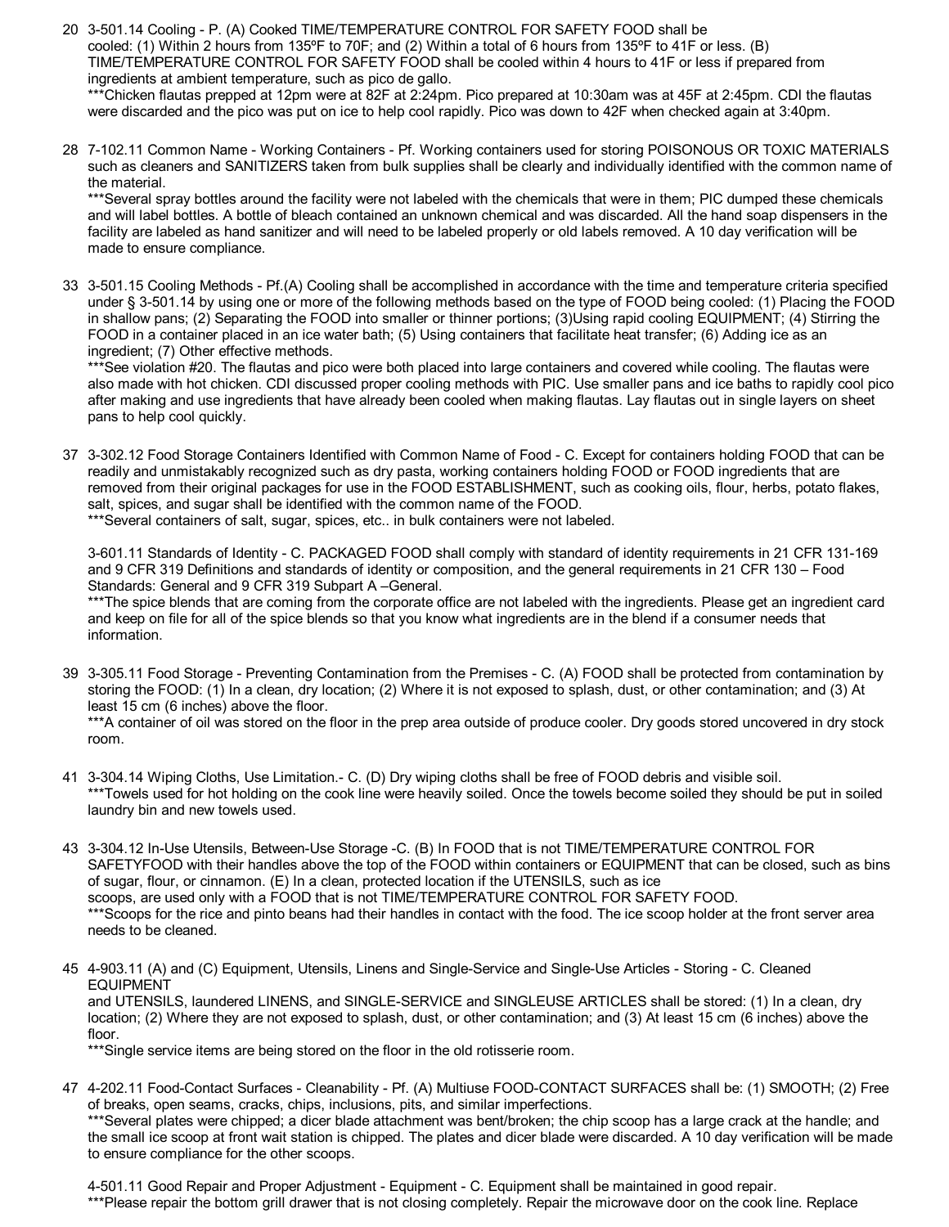- 20 3-501.14 Cooling -P. (A) Cooked TIME/TEMPERATURE CONTROL FOR SAFETY FOOD shall be cooled: (1) Within 2 hours from 135ºF to 70F; and (2) Within a total of 6 hours from 135ºF to 41F or less. (B) TIME/TEMPERATURE CONTROL FOR SAFETY FOOD shall be cooled within 4 hours to 41F or less if prepared from ingredients at ambient temperature, such as pico de gallo. \*\*\*Chicken flautas prepped at 12pm were at 82F at 2:24pm. Pico prepared at 10:30am was at 45F at 2:45pm. CDI the flautas were discarded and the pico was put on ice to help cool rapidly. Pico was down to 42F when checked again at 3:40pm.
- 28 7-102.11 Common Name Working Containers Pf. Working containers used for storing POISONOUS OR TOXIC MATERIALS such as cleaners and SANITIZERS taken from bulk supplies shall be clearly and individually identified with the common name of the material.

\*\*\*Several spray bottles around the facility were not labeled with the chemicals that were in them; PIC dumped these chemicals and will label bottles. A bottle of bleach contained an unknown chemical and was discarded. All the hand soap dispensers in the facility are labeled as hand sanitizer and will need to be labeled properly or old labels removed. A 10 day verification will be made to ensure compliance.

33 3-501.15 Cooling Methods - Pf.(A) Cooling shall be accomplished in accordance with the time and temperature criteria specified under § 3-501.14 by using one or more of the following methods based on the type of FOOD being cooled: (1) Placing the FOOD in shallow pans; (2) Separating the FOOD into smaller or thinner portions; (3)Using rapid cooling EQUIPMENT; (4) Stirring the FOOD in a container placed in an ice water bath; (5) Using containers that facilitate heat transfer; (6) Adding ice as an ingredient; (7) Other effective methods.

\*\*\*See violation #20. The flautas and pico were both placed into large containers and covered while cooling. The flautas were also made with hot chicken. CDI discussed proper cooling methods with PIC. Use smaller pans and ice baths to rapidly cool pico after making and use ingredients that have already been cooled when making flautas. Lay flautas out in single layers on sheet pans to help cool quickly.

37 3-302.12 Food Storage Containers Identified with Common Name of Food - C. Except for containers holding FOOD that can be readily and unmistakably recognized such as dry pasta, working containers holding FOOD or FOOD ingredients that are removed from their original packages for use in the FOOD ESTABLISHMENT, such as cooking oils, flour, herbs, potato flakes, salt, spices, and sugar shall be identified with the common name of the FOOD. \*\*\*Several containers of salt, sugar, spices, etc.. in bulk containers were not labeled.

3-601.11 Standards of Identity - C. PACKAGED FOOD shall comply with standard of identity requirements in 21 CFR 131-169 and 9 CFR 319 Definitions and standards of identity or composition, and the general requirements in 21 CFR 130 – Food Standards: General and 9 CFR 319 Subpart A –General.

\*\*\*The spice blends that are coming from the corporate office are not labeled with the ingredients. Please get an ingredient card and keep on file for all of the spice blends so that you know what ingredients are in the blend if a consumer needs that information.

39 3-305.11 Food Storage - Preventing Contamination from the Premises - C. (A) FOOD shall be protected from contamination by storing the FOOD: (1) In a clean, dry location; (2) Where it is not exposed to splash, dust, or other contamination; and (3) At least 15 cm (6 inches) above the floor.

\*\*\*A container of oil was stored on the floor in the prep area outside of produce cooler. Dry goods stored uncovered in dry stock room.

- 41 3-304.14 Wiping Cloths, Use Limitation.- C. (D) Dry wiping cloths shall be free of FOOD debris and visible soil. \*\*\*Towels used for hot holding on the cook line were heavily soiled. Once the towels become soiled they should be put in soiled laundry bin and new towels used.
- 43 3-304.12 In-Use Utensils, Between-Use Storage -C. (B) In FOOD that is not TIME/TEMPERATURE CONTROL FOR SAFETYFOOD with their handles above the top of the FOOD within containers or EQUIPMENT that can be closed, such as bins of sugar, flour, or cinnamon. (E) In a clean, protected location if the UTENSILS, such as ice scoops, are used only with a FOOD that is not TIME/TEMPERATURE CONTROL FOR SAFETY FOOD. \*\*\*Scoops for the rice and pinto beans had their handles in contact with the food. The ice scoop holder at the front server area needs to be cleaned.
- 45 4-903.11 (A) and (C) Equipment, Utensils, Linens and Single-Service and Single-Use Articles Storing C. Cleaned EQUIPMENT and UTENSILS, laundered LINENS, and SINGLE-SERVICE and SINGLEUSE ARTICLES shall be stored: (1) In a clean, dry location; (2) Where they are not exposed to splash, dust, or other contamination; and (3) At least 15 cm (6 inches) above the floor.

\*\*\*Single service items are being stored on the floor in the old rotisserie room.

47 4-202.11 Food-Contact Surfaces - Cleanability - Pf. (A) Multiuse FOOD-CONTACT SURFACES shall be: (1) SMOOTH; (2) Free of breaks, open seams, cracks, chips, inclusions, pits, and similar imperfections. \*\*\*Several plates were chipped; a dicer blade attachment was bent/broken; the chip scoop has a large crack at the handle; and the small ice scoop at front wait station is chipped. The plates and dicer blade were discarded. A 10 day verification will be made to ensure compliance for the other scoops.

4-501.11 Good Repair and Proper Adjustment - Equipment - C. Equipment shall be maintained in good repair. \*\*\*Please repair the bottom grill drawer that is not closing completely. Repair the microwave door on the cook line. Replace